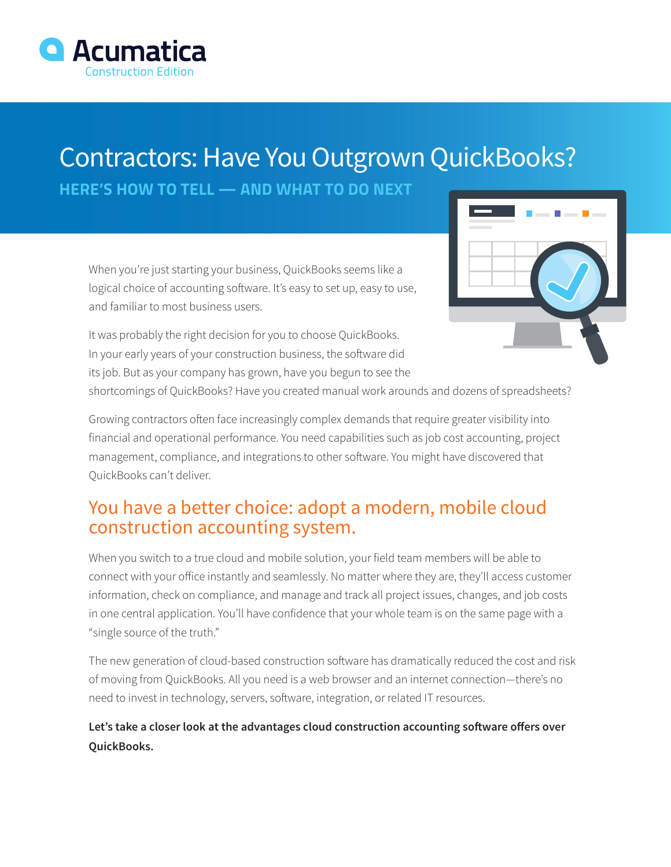

# Contractors: Have You Outgrown QuickBooks?

**HERE'S HOW TO TELL — AND WHAT TO DO NEXT**

When you're just starting your business, QuickBooks seems like a logical choice of accounting software. It's easy to set up, easy to use, and familiar to most business users.

It was probably the right decision for you to choose QuickBooks. In your early years of your construction business, the software did its job. But as your company has grown, have you begun to see the



shortcomings of QuickBooks? Have you created manual work arounds and dozens of spreadsheets?

Growing contractors often face increasingly complex demands that require greater visibility into financial and operational performance. You need capabilities such as job cost accounting, project management, compliance, and integrations to other software. You might have discovered that QuickBooks can't deliver.

### You have a better choice: adopt a modern, mobile cloud construction accounting system.

When you switch to a true cloud and mobile solution, your field team members will be able to connect with your office instantly and seamlessly. No matter where they are, they'll access customer information, check on compliance, and manage and track all project issues, changes, and job costs in one central application. You'll have confidence that your whole team is on the same page with a "single source of the truth."

The new generation of cloud-based construction software has dramatically reduced the cost and risk of moving from QuickBooks. All you need is a web browser and an internet connection—there's no need to invest in technology, servers, software, integration, or related IT resources.

#### **Let's take a closer look at the advantages cloud construction accounting software offers over QuickBooks.**